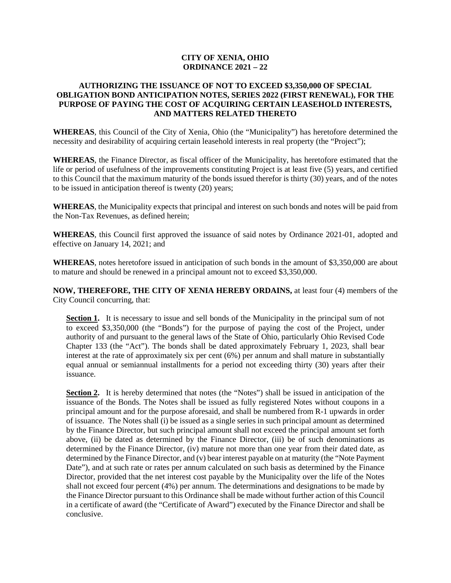# **CITY OF XENIA, OHIO ORDINANCE 2021 – 22**

# **AUTHORIZING THE ISSUANCE OF NOT TO EXCEED \$3,350,000 OF SPECIAL OBLIGATION BOND ANTICIPATION NOTES, SERIES 2022 (FIRST RENEWAL), FOR THE PURPOSE OF PAYING THE COST OF ACQUIRING CERTAIN LEASEHOLD INTERESTS, AND MATTERS RELATED THERETO**

**WHEREAS**, this Council of the City of Xenia, Ohio (the "Municipality") has heretofore determined the necessity and desirability of acquiring certain leasehold interests in real property (the "Project");

**WHEREAS**, the Finance Director, as fiscal officer of the Municipality, has heretofore estimated that the life or period of usefulness of the improvements constituting Project is at least five (5) years, and certified to this Council that the maximum maturity of the bonds issued therefor is thirty (30) years, and of the notes to be issued in anticipation thereof is twenty (20) years;

**WHEREAS**, the Municipality expects that principal and interest on such bonds and notes will be paid from the Non-Tax Revenues, as defined herein;

**WHEREAS**, this Council first approved the issuance of said notes by Ordinance 2021-01, adopted and effective on January 14, 2021; and

**WHEREAS**, notes heretofore issued in anticipation of such bonds in the amount of \$3,350,000 are about to mature and should be renewed in a principal amount not to exceed \$3,350,000.

**NOW, THEREFORE, THE CITY OF XENIA HEREBY ORDAINS,** at least four (4) members of the City Council concurring, that:

**Section 1.** It is necessary to issue and sell bonds of the Municipality in the principal sum of not to exceed \$3,350,000 (the "Bonds") for the purpose of paying the cost of the Project, under authority of and pursuant to the general laws of the State of Ohio, particularly Ohio Revised Code Chapter 133 (the "Act"). The bonds shall be dated approximately February 1, 2023, shall bear interest at the rate of approximately six per cent (6%) per annum and shall mature in substantially equal annual or semiannual installments for a period not exceeding thirty (30) years after their issuance.

**Section 2.** It is hereby determined that notes (the "Notes") shall be issued in anticipation of the issuance of the Bonds. The Notes shall be issued as fully registered Notes without coupons in a principal amount and for the purpose aforesaid, and shall be numbered from R-1 upwards in order of issuance. The Notes shall (i) be issued as a single series in such principal amount as determined by the Finance Director, but such principal amount shall not exceed the principal amount set forth above, (ii) be dated as determined by the Finance Director, (iii) be of such denominations as determined by the Finance Director, (iv) mature not more than one year from their dated date, as determined by the Finance Director, and (v) bear interest payable on at maturity (the "Note Payment Date"), and at such rate or rates per annum calculated on such basis as determined by the Finance Director, provided that the net interest cost payable by the Municipality over the life of the Notes shall not exceed four percent (4%) per annum. The determinations and designations to be made by the Finance Director pursuant to this Ordinance shall be made without further action of this Council in a certificate of award (the "Certificate of Award") executed by the Finance Director and shall be conclusive.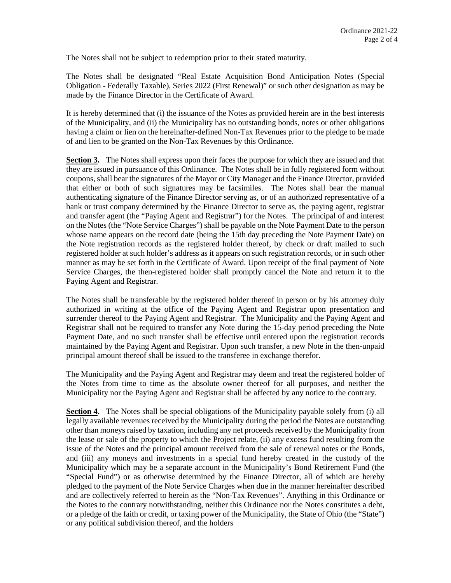The Notes shall not be subject to redemption prior to their stated maturity.

The Notes shall be designated "Real Estate Acquisition Bond Anticipation Notes (Special Obligation - Federally Taxable), Series 2022 (First Renewal)" or such other designation as may be made by the Finance Director in the Certificate of Award.

It is hereby determined that (i) the issuance of the Notes as provided herein are in the best interests of the Municipality, and (ii) the Municipality has no outstanding bonds, notes or other obligations having a claim or lien on the hereinafter-defined Non-Tax Revenues prior to the pledge to be made of and lien to be granted on the Non-Tax Revenues by this Ordinance.

**Section 3.** The Notes shall express upon their faces the purpose for which they are issued and that they are issued in pursuance of this Ordinance. The Notes shall be in fully registered form without coupons, shall bear the signatures of the Mayor or City Manager and the Finance Director, provided that either or both of such signatures may be facsimiles. The Notes shall bear the manual authenticating signature of the Finance Director serving as, or of an authorized representative of a bank or trust company determined by the Finance Director to serve as, the paying agent, registrar and transfer agent (the "Paying Agent and Registrar") for the Notes. The principal of and interest on the Notes (the "Note Service Charges") shall be payable on the Note Payment Date to the person whose name appears on the record date (being the 15th day preceding the Note Payment Date) on the Note registration records as the registered holder thereof, by check or draft mailed to such registered holder at such holder's address as it appears on such registration records, or in such other manner as may be set forth in the Certificate of Award. Upon receipt of the final payment of Note Service Charges, the then-registered holder shall promptly cancel the Note and return it to the Paying Agent and Registrar.

The Notes shall be transferable by the registered holder thereof in person or by his attorney duly authorized in writing at the office of the Paying Agent and Registrar upon presentation and surrender thereof to the Paying Agent and Registrar. The Municipality and the Paying Agent and Registrar shall not be required to transfer any Note during the 15-day period preceding the Note Payment Date, and no such transfer shall be effective until entered upon the registration records maintained by the Paying Agent and Registrar. Upon such transfer, a new Note in the then-unpaid principal amount thereof shall be issued to the transferee in exchange therefor.

The Municipality and the Paying Agent and Registrar may deem and treat the registered holder of the Notes from time to time as the absolute owner thereof for all purposes, and neither the Municipality nor the Paying Agent and Registrar shall be affected by any notice to the contrary.

**Section 4.** The Notes shall be special obligations of the Municipality payable solely from (i) all legally available revenues received by the Municipality during the period the Notes are outstanding other than moneys raised by taxation, including any net proceeds received by the Municipality from the lease or sale of the property to which the Project relate, (ii) any excess fund resulting from the issue of the Notes and the principal amount received from the sale of renewal notes or the Bonds, and (iii) any moneys and investments in a special fund hereby created in the custody of the Municipality which may be a separate account in the Municipality's Bond Retirement Fund (the "Special Fund") or as otherwise determined by the Finance Director, all of which are hereby pledged to the payment of the Note Service Charges when due in the manner hereinafter described and are collectively referred to herein as the "Non-Tax Revenues". Anything in this Ordinance or the Notes to the contrary notwithstanding, neither this Ordinance nor the Notes constitutes a debt, or a pledge of the faith or credit, or taxing power of the Municipality, the State of Ohio (the "State") or any political subdivision thereof, and the holders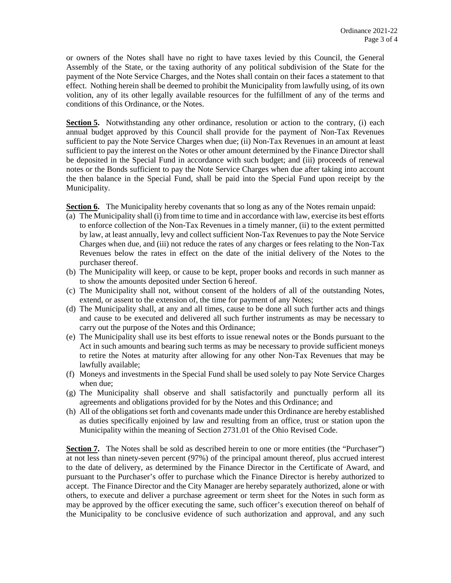or owners of the Notes shall have no right to have taxes levied by this Council, the General Assembly of the State, or the taxing authority of any political subdivision of the State for the payment of the Note Service Charges, and the Notes shall contain on their faces a statement to that effect. Nothing herein shall be deemed to prohibit the Municipality from lawfully using, of its own volition, any of its other legally available resources for the fulfillment of any of the terms and conditions of this Ordinance, or the Notes.

**Section 5.** Notwithstanding any other ordinance, resolution or action to the contrary, (i) each annual budget approved by this Council shall provide for the payment of Non-Tax Revenues sufficient to pay the Note Service Charges when due; (ii) Non-Tax Revenues in an amount at least sufficient to pay the interest on the Notes or other amount determined by the Finance Director shall be deposited in the Special Fund in accordance with such budget; and (iii) proceeds of renewal notes or the Bonds sufficient to pay the Note Service Charges when due after taking into account the then balance in the Special Fund, shall be paid into the Special Fund upon receipt by the Municipality.

Section 6. The Municipality hereby covenants that so long as any of the Notes remain unpaid:

- (a) The Municipality shall (i) from time to time and in accordance with law, exercise its best efforts to enforce collection of the Non-Tax Revenues in a timely manner, (ii) to the extent permitted by law, at least annually, levy and collect sufficient Non-Tax Revenues to pay the Note Service Charges when due, and (iii) not reduce the rates of any charges or fees relating to the Non-Tax Revenues below the rates in effect on the date of the initial delivery of the Notes to the purchaser thereof.
- (b) The Municipality will keep, or cause to be kept, proper books and records in such manner as to show the amounts deposited under Section 6 hereof.
- (c) The Municipality shall not, without consent of the holders of all of the outstanding Notes, extend, or assent to the extension of, the time for payment of any Notes;
- (d) The Municipality shall, at any and all times, cause to be done all such further acts and things and cause to be executed and delivered all such further instruments as may be necessary to carry out the purpose of the Notes and this Ordinance;
- (e) The Municipality shall use its best efforts to issue renewal notes or the Bonds pursuant to the Act in such amounts and bearing such terms as may be necessary to provide sufficient moneys to retire the Notes at maturity after allowing for any other Non-Tax Revenues that may be lawfully available;
- (f) Moneys and investments in the Special Fund shall be used solely to pay Note Service Charges when due;
- (g) The Municipality shall observe and shall satisfactorily and punctually perform all its agreements and obligations provided for by the Notes and this Ordinance; and
- (h) All of the obligations set forth and covenants made under this Ordinance are hereby established as duties specifically enjoined by law and resulting from an office, trust or station upon the Municipality within the meaning of Section 2731.01 of the Ohio Revised Code.

**Section 7.** The Notes shall be sold as described herein to one or more entities (the "Purchaser") at not less than ninety-seven percent (97%) of the principal amount thereof, plus accrued interest to the date of delivery, as determined by the Finance Director in the Certificate of Award, and pursuant to the Purchaser's offer to purchase which the Finance Director is hereby authorized to accept. The Finance Director and the City Manager are hereby separately authorized, alone or with others, to execute and deliver a purchase agreement or term sheet for the Notes in such form as may be approved by the officer executing the same, such officer's execution thereof on behalf of the Municipality to be conclusive evidence of such authorization and approval, and any such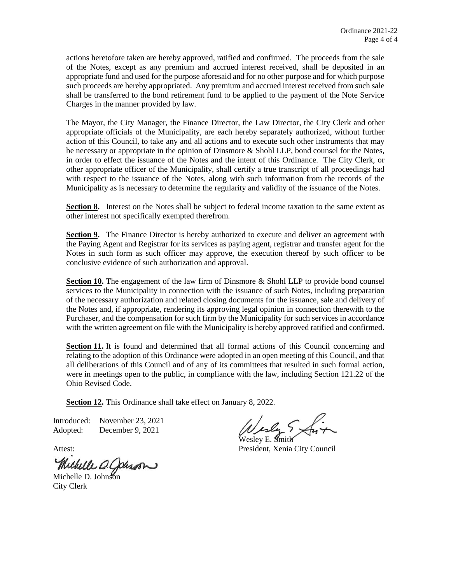actions heretofore taken are hereby approved, ratified and confirmed. The proceeds from the sale of the Notes, except as any premium and accrued interest received, shall be deposited in an appropriate fund and used for the purpose aforesaid and for no other purpose and for which purpose such proceeds are hereby appropriated. Any premium and accrued interest received from such sale shall be transferred to the bond retirement fund to be applied to the payment of the Note Service Charges in the manner provided by law.

The Mayor, the City Manager, the Finance Director, the Law Director, the City Clerk and other appropriate officials of the Municipality, are each hereby separately authorized, without further action of this Council, to take any and all actions and to execute such other instruments that may be necessary or appropriate in the opinion of Dinsmore & Shohl LLP, bond counsel for the Notes, in order to effect the issuance of the Notes and the intent of this Ordinance. The City Clerk, or other appropriate officer of the Municipality, shall certify a true transcript of all proceedings had with respect to the issuance of the Notes, along with such information from the records of the Municipality as is necessary to determine the regularity and validity of the issuance of the Notes.

**Section 8.** Interest on the Notes shall be subject to federal income taxation to the same extent as other interest not specifically exempted therefrom.

**Section 9.** The Finance Director is hereby authorized to execute and deliver an agreement with the Paying Agent and Registrar for its services as paying agent, registrar and transfer agent for the Notes in such form as such officer may approve, the execution thereof by such officer to be conclusive evidence of such authorization and approval.

**Section 10.** The engagement of the law firm of Dinsmore & Shohl LLP to provide bond counsel services to the Municipality in connection with the issuance of such Notes, including preparation of the necessary authorization and related closing documents for the issuance, sale and delivery of the Notes and, if appropriate, rendering its approving legal opinion in connection therewith to the Purchaser, and the compensation for such firm by the Municipality for such services in accordance with the written agreement on file with the Municipality is hereby approved ratified and confirmed.

**Section 11.** It is found and determined that all formal actions of this Council concerning and relating to the adoption of this Ordinance were adopted in an open meeting of this Council, and that all deliberations of this Council and of any of its committees that resulted in such formal action, were in meetings open to the public, in compliance with the law, including Section 121.22 of the Ohio Revised Code.

**Section 12.** This Ordinance shall take effect on January 8, 2022.

Introduced: November 23, 2021 Adopted: December 9, 2021

Michelle O. Cohron

esly Sx

Wesley E. **S**mit**K** Attest: President, Xenia City Council

City Clerk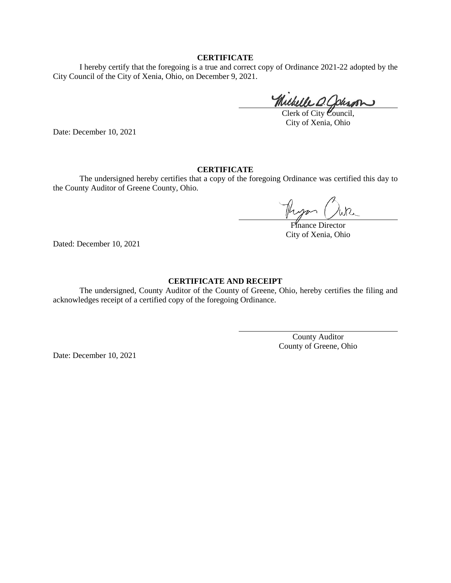### **CERTIFICATE**

I hereby certify that the foregoing is a true and correct copy of Ordinance 2021-22 adopted by the City Council of the City of Xenia, Ohio, on December 9, 2021.

Michelle O. Johnson

Clerk of City Council, City of Xenia, Ohio

Date: December 10, 2021

## **CERTIFICATE**

The undersigned hereby certifies that a copy of the foregoing Ordinance was certified this day to the County Auditor of Greene County, Ohio.

Theyan

Finance Director City of Xenia, Ohio

Dated: December 10, 2021

### **CERTIFICATE AND RECEIPT**

The undersigned, County Auditor of the County of Greene, Ohio, hereby certifies the filing and acknowledges receipt of a certified copy of the foregoing Ordinance.

> County Auditor County of Greene, Ohio

Date: December 10, 2021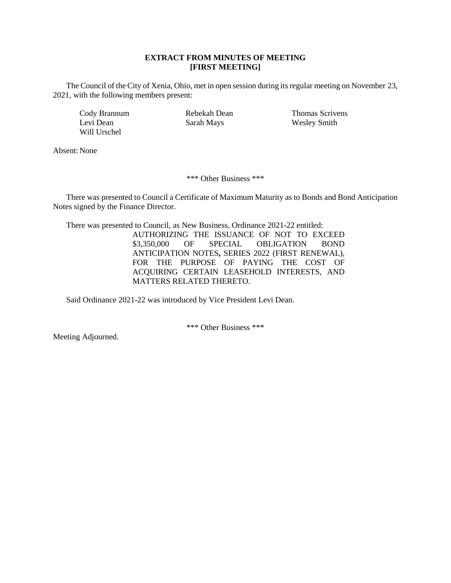### **EXTRACT FROM MINUTES OF MEETING [FIRST MEETING]**

The Council of the City of Xenia, Ohio, met in open session during its regular meeting on November 23, 2021, with the following members present:

Will Urschel

Cody Brannum Rebekah Dean Thomas Scrivens Levi Dean Sarah Mays Wesley Smith

Absent: None

\*\*\* Other Business \*\*\*

There was presented to Council a Certificate of Maximum Maturity as to Bonds and Bond Anticipation Notes signed by the Finance Director.

There was presented to Council, as New Business, Ordinance 2021**-**22 entitled:

AUTHORIZING THE ISSUANCE OF NOT TO EXCEED<br>\$3,350,000 OF SPECIAL OBLIGATION BOND \$3,350,000 OF SPECIAL OBLIGATION BOND ANTICIPATION NOTES**,** SERIES 2022 (FIRST RENEWAL), FOR THE PURPOSE OF PAYING THE COST OF ACQUIRING CERTAIN LEASEHOLD INTERESTS, AND MATTERS RELATED THERETO.

Said Ordinance 2021-22 was introduced by Vice President Levi Dean.

\*\*\* Other Business \*\*\*

Meeting Adjourned.